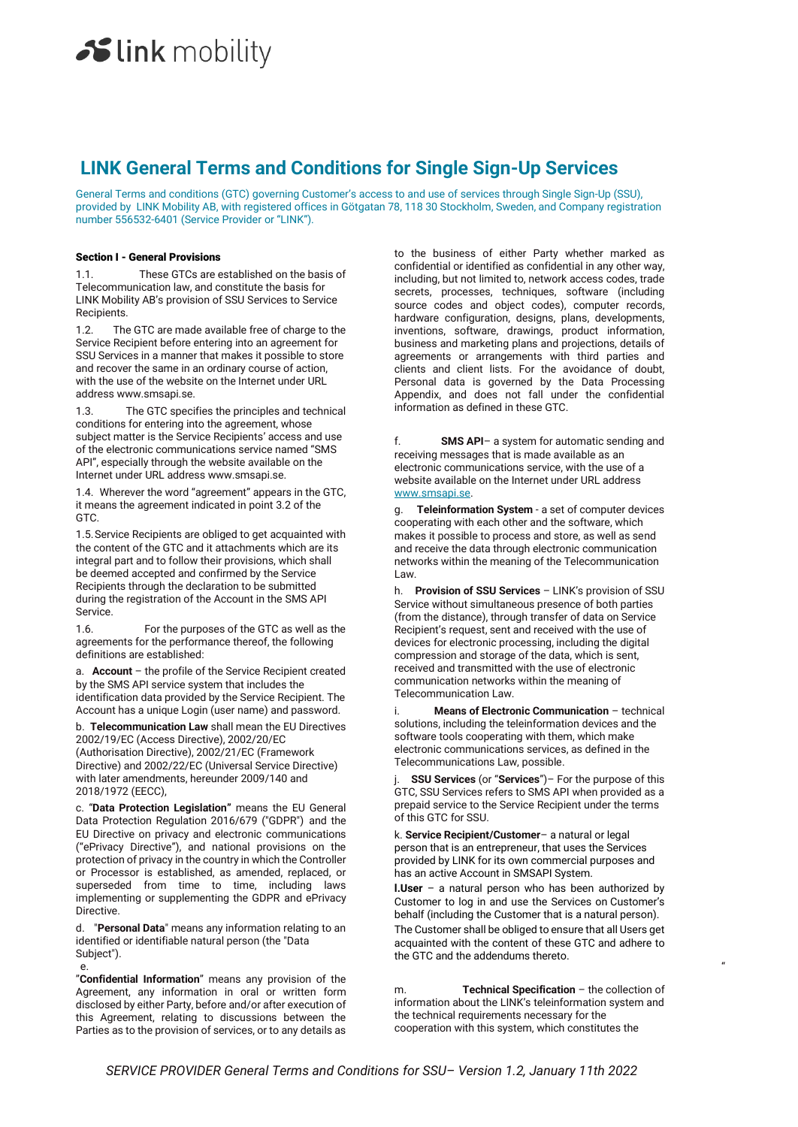# **LINK General Terms and Conditions for Single Sign-Up Services**

General Terms and conditions (GTC) governing Customer's access to and use of services through Single Sign-Up (SSU), provided by LINK Mobility AB, with registered offices in Götgatan 78, 118 30 Stockholm, Sweden, and Company registration number 556532-6401 (Service Provider or "LINK").

### Section I - General Provisions

1.1. These GTCs are established on the basis of Telecommunication law, and constitute the basis for LINK Mobility AB's provision of SSU Services to Service Recipients.

1.2. The GTC are made available free of charge to the Service Recipient before entering into an agreement for SSU Services in a manner that makes it possible to store and recover the same in an ordinary course of action, with the use of the website on the Internet under URL address www.smsapi.se.

1.3. The GTC specifies the principles and technical conditions for entering into the agreement, whose subject matter is the Service Recipients' access and use of the electronic communications service named "SMS API", especially through the website available on the Internet under URL address www.smsapi.se.

1.4. Wherever the word "agreement" appears in the GTC, it means the agreement indicated in point 3.2 of the GTC.

1.5.Service Recipients are obliged to get acquainted with the content of the GTC and it attachments which are its integral part and to follow their provisions, which shall be deemed accepted and confirmed by the Service Recipients through the declaration to be submitted during the registration of the Account in the SMS API Service.

1.6. For the purposes of the GTC as well as the agreements for the performance thereof, the following definitions are established:

a. **Account** – the profile of the Service Recipient created by the SMS API service system that includes the identification data provided by the Service Recipient. The Account has a unique Login (user name) and password.

b. **Telecommunication Law** shall mean the EU Directives 2002/19/EC (Access Directive), 2002/20/EC (Authorisation Directive), 2002/21/EC (Framework Directive) and 2002/22/EC (Universal Service Directive) with later amendments, hereunder 2009/140 and 2018/1972 (EECC),

c. "**Data Protection Legislation"** means the EU General Data Protection Regulation 2016/679 ("GDPR") and the EU Directive on privacy and electronic communications ("ePrivacy Directive"), and national provisions on the protection of privacy in the country in which the Controller or Processor is established, as amended, replaced, or superseded from time to time, including laws implementing or supplementing the GDPR and ePrivacy Directive.

d. "**Personal Data**" means any information relating to an identified or identifiable natural person (the "Data Subject").

"**Confidential Information**" means any provision of the Agreement, any information in oral or written form disclosed by either Party, before and/or after execution of this Agreement, relating to discussions between the Parties as to the provision of services, or to any details as

to the business of either Party whether marked as confidential or identified as confidential in any other way, including, but not limited to, network access codes, trade secrets, processes, techniques, software (including source codes and object codes), computer records, hardware configuration, designs, plans, developments, inventions, software, drawings, product information, business and marketing plans and projections, details of agreements or arrangements with third parties and clients and client lists. For the avoidance of doubt, Personal data is governed by the Data Processing Appendix, and does not fall under the confidential information as defined in these GTC.

f. **SMS API**– a system for automatic sending and receiving messages that is made available as an electronic communications service, with the use of a website available on the Internet under URL address [www.smsapi.se.](http://www.smsapi.se/)

Teleinformation System - a set of computer devices cooperating with each other and the software, which makes it possible to process and store, as well as send and receive the data through electronic communication networks within the meaning of the Telecommunication Law.

h. **Provision of SSU Services** – LINK's provision of SSU Service without simultaneous presence of both parties (from the distance), through transfer of data on Service Recipient's request, sent and received with the use of devices for electronic processing, including the digital compression and storage of the data, which is sent, received and transmitted with the use of electronic communication networks within the meaning of Telecommunication Law.

i. **Means of Electronic Communication** – technical solutions, including the teleinformation devices and the software tools cooperating with them, which make electronic communications services, as defined in the Telecommunications Law, possible.

**SSU Services** (or "Services")– For the purpose of this GTC, SSU Services refers to SMS API when provided as a prepaid service to the Service Recipient under the terms of this GTC for SSU.

k. **Service Recipient/Customer**– a natural or legal person that is an entrepreneur, that uses the Services provided by LINK for its own commercial purposes and has an active Account in SMSAPI System.

**l.User** – a natural person who has been authorized by Customer to log in and use the Services on Customer's behalf (including the Customer that is a natural person). The Customer shall be obliged to ensure that all Users get

e. The contract of the contract of the contract of the contract of the contract of the contract of the contract of the contract of the contract of the contract of the contract of the contract of the contract of the contrac acquainted with the content of these GTC and adhere to the GTC and the addendums thereto.

> m. **Technical Specification** – the collection of information about the LINK's teleinformation system and the technical requirements necessary for the cooperation with this system, which constitutes the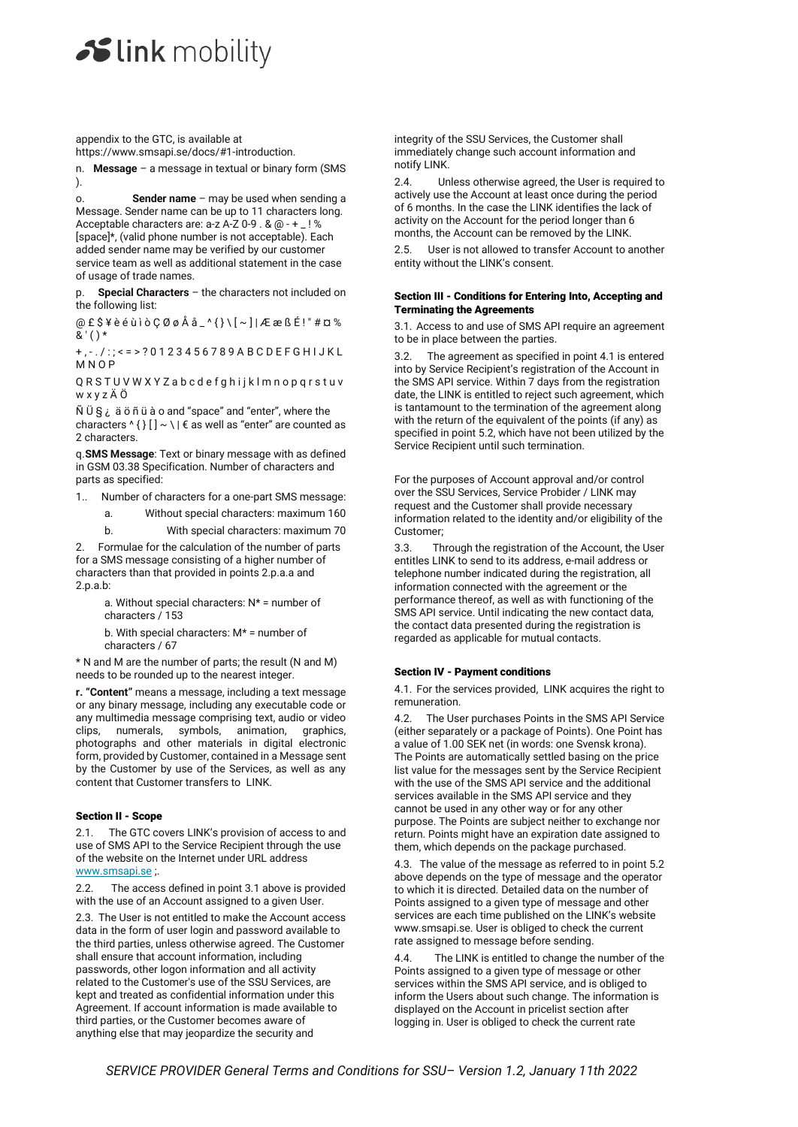appendix to the GTC, is available at https://www.smsapi.se/docs/#1-introduction.

n. **Message** – a message in textual or binary form (SMS ).

o. **Sender name** – may be used when sending a Message. Sender name can be up to 11 characters long. Acceptable characters are: a-z A-Z 0-9 . & @ - + \_ ! % [space]\*, (valid phone number is not acceptable). Each added sender name may be verified by our customer service team as well as additional statement in the case of usage of trade names.

**Special Characters** – the characters not included on the following list:

 $@E $* \hat{e} \hat{u} i \hat{o} Q \emptyset \hat{A} \hat{a}$ \_'{ $\} \$ [~]| $E \in B \hat{E}$ !"# $\pi \otimes$  $\bar{8}$  ' ( ) \*

+ , - . / : ; < = > ? 0 1 2 3 4 5 6 7 8 9 A B C D E F G H I J K L M N O P

QRSTUVWXYZabcdefghijklmnopqrstuv w x y z Ä Ö

 $\tilde{N}$  U  $\tilde{S}$   $\tilde{\epsilon}$   $\tilde{a}$   $\tilde{o}$   $\tilde{n}$   $\tilde{u}$   $\tilde{a}$   $o$  and "space" and "enter", where the characters  $\wedge$  { } [ ]  $\sim$  \ |  $\epsilon$  as well as "enter" are counted as 2 characters.

q.**SMS Message**: Text or binary message with as defined in GSM 03.38 Specification. Number of characters and parts as specified:

1.. Number of characters for a one-part SMS message:

a. Without special characters: maximum 160

b. With special characters: maximum 70

2. Formulae for the calculation of the number of parts for a SMS message consisting of a higher number of characters than that provided in points 2.p.a.a and 2.p.a.b:

> a. Without special characters: N\* = number of characters / 153

b. With special characters: M\* = number of characters / 67

\* N and M are the number of parts; the result (N and M) needs to be rounded up to the nearest integer.

**r. "Content"** means a message, including a text message or any binary message, including any executable code or any multimedia message comprising text, audio or video clips, numerals, symbols, animation, graphics, photographs and other materials in digital electronic form, provided by Customer, contained in a Message sent by the Customer by use of the Services, as well as any content that Customer transfers to LINK.

# Section II - Scope

2.1. The GTC covers LINK's provision of access to and use of SMS API to the Service Recipient through the use of the website on the Internet under URL address [www.smsapi.se](http://www.smsapi.se/) ;.

2.2. The access defined in point 3.1 above is provided with the use of an Account assigned to a given User.

2.3. The User is not entitled to make the Account access data in the form of user login and password available to the third parties, unless otherwise agreed. The Customer shall ensure that account information, including passwords, other logon information and all activity related to the Customer's use of the SSU Services, are kept and treated as confidential information under this Agreement. If account information is made available to third parties, or the Customer becomes aware of anything else that may jeopardize the security and

integrity of the SSU Services, the Customer shall immediately change such account information and notify LINK.

2.4. Unless otherwise agreed, the User is required to actively use the Account at least once during the period of 6 months. In the case the LINK identifies the lack of activity on the Account for the period longer than 6 months, the Account can be removed by the LINK.

2.5. User is not allowed to transfer Account to another entity without the LINK's consent.

### Section III - Conditions for Entering Into, Accepting and Terminating the Agreements

3.1. Access to and use of SMS API require an agreement to be in place between the parties.

The agreement as specified in point 4.1 is entered into by Service Recipient's registration of the Account in the SMS API service. Within 7 days from the registration date, the LINK is entitled to reject such agreement, which is tantamount to the termination of the agreement along with the return of the equivalent of the points (if any) as specified in point 5.2, which have not been utilized by the Service Recipient until such termination.

For the purposes of Account approval and/or control over the SSU Services, Service Probider / LINK may request and the Customer shall provide necessary information related to the identity and/or eligibility of the Customer;

3.3. Through the registration of the Account, the User entitles LINK to send to its address, e-mail address or telephone number indicated during the registration, all information connected with the agreement or the performance thereof, as well as with functioning of the SMS API service. Until indicating the new contact data, the contact data presented during the registration is regarded as applicable for mutual contacts.

# Section IV - Payment conditions

4.1. For the services provided, LINK acquires the right to remuneration.

4.2. The User purchases Points in the SMS API Service (either separately or a package of Points). One Point has a value of 1.00 SEK net (in words: one Svensk krona). The Points are automatically settled basing on the price list value for the messages sent by the Service Recipient with the use of the SMS API service and the additional services available in the SMS API service and they cannot be used in any other way or for any other purpose. The Points are subject neither to exchange nor return. Points might have an expiration date assigned to them, which depends on the package purchased.

4.3. The value of the message as referred to in point 5.2 above depends on the type of message and the operator to which it is directed. Detailed data on the number of Points assigned to a given type of message and other services are each time published on the LINK's website www.smsapi.se. User is obliged to check the current rate assigned to message before sending.

4.4. The LINK is entitled to change the number of the Points assigned to a given type of message or other services within the SMS API service, and is obliged to inform the Users about such change. The information is displayed on the Account in pricelist section after logging in. User is obliged to check the current rate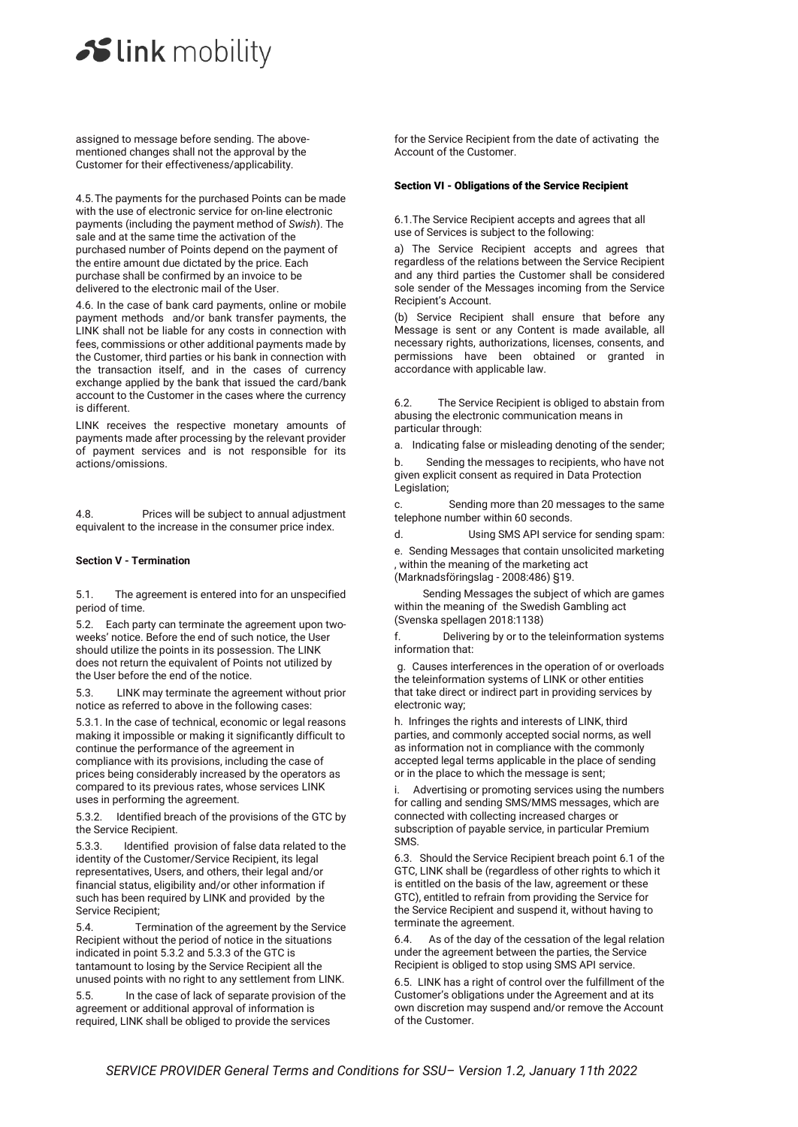assigned to message before sending. The abovementioned changes shall not the approval by the Customer for their effectiveness/applicability.

4.5.The payments for the purchased Points can be made with the use of electronic service for on-line electronic payments (including the payment method of *Swish*). The sale and at the same time the activation of the purchased number of Points depend on the payment of the entire amount due dictated by the price. Each purchase shall be confirmed by an invoice to be delivered to the electronic mail of the User.

4.6. In the case of bank card payments, online or mobile payment methods and/or bank transfer payments, the LINK shall not be liable for any costs in connection with fees, commissions or other additional payments made by the Customer, third parties or his bank in connection with the transaction itself, and in the cases of currency exchange applied by the bank that issued the card/bank account to the Customer in the cases where the currency is different.

LINK receives the respective monetary amounts of payments made after processing by the relevant provider of payment services and is not responsible for its actions/omissions.

4.8. Prices will be subject to annual adjustment equivalent to the increase in the consumer price index.

#### **Section V - Termination**

5.1. The agreement is entered into for an unspecified period of time.

5.2. Each party can terminate the agreement upon twoweeks' notice. Before the end of such notice, the User should utilize the points in its possession. The LINK does not return the equivalent of Points not utilized by the User before the end of the notice.

5.3. LINK may terminate the agreement without prior notice as referred to above in the following cases:

5.3.1. In the case of technical, economic or legal reasons making it impossible or making it significantly difficult to continue the performance of the agreement in compliance with its provisions, including the case of prices being considerably increased by the operators as compared to its previous rates, whose services LINK uses in performing the agreement.

5.3.2. Identified breach of the provisions of the GTC by the Service Recipient.

5.3.3. Identified provision of false data related to the identity of the Customer/Service Recipient, its legal representatives, Users, and others, their legal and/or financial status, eligibility and/or other information if such has been required by LINK and provided by the Service Recipient;

5.4. Termination of the agreement by the Service Recipient without the period of notice in the situations indicated in point 5.3.2 and 5.3.3 of the GTC is tantamount to losing by the Service Recipient all the unused points with no right to any settlement from LINK.

5.5. In the case of lack of separate provision of the agreement or additional approval of information is required, LINK shall be obliged to provide the services

for the Service Recipient from the date of activating the Account of the Customer.

# Section VI - Obligations of the Service Recipient

6.1.The Service Recipient accepts and agrees that all use of Services is subject to the following:

a) The Service Recipient accepts and agrees that regardless of the relations between the Service Recipient and any third parties the Customer shall be considered sole sender of the Messages incoming from the Service Recipient's Account.

(b) Service Recipient shall ensure that before any Message is sent or any Content is made available, all necessary rights, authorizations, licenses, consents, and permissions have been obtained or granted in accordance with applicable law.

6.2. The Service Recipient is obliged to abstain from abusing the electronic communication means in particular through:

a. Indicating false or misleading denoting of the sender;

b. Sending the messages to recipients, who have not given explicit consent as required in Data Protection Legislation;

c. Sending more than 20 messages to the same telephone number within 60 seconds.

d. Using SMS API service for sending spam:

e. Sending Messages that contain unsolicited marketing , within the meaning of the marketing act (Marknadsföringslag - 2008:486) §19.

Sending Messages the subject of which are games within the meaning of the Swedish Gambling act (Svenska spellagen 2018:1138)

f. Delivering by or to the teleinformation systems information that:

g. Causes interferences in the operation of or overloads the teleinformation systems of LINK or other entities that take direct or indirect part in providing services by electronic way;

h. Infringes the rights and interests of LINK, third parties, and commonly accepted social norms, as well as information not in compliance with the commonly accepted legal terms applicable in the place of sending or in the place to which the message is sent;

i. Advertising or promoting services using the numbers for calling and sending SMS/MMS messages, which are connected with collecting increased charges or subscription of payable service, in particular Premium SMS.

6.3. Should the Service Recipient breach point 6.1 of the GTC, LINK shall be (regardless of other rights to which it is entitled on the basis of the law, agreement or these GTC), entitled to refrain from providing the Service for the Service Recipient and suspend it, without having to terminate the agreement.

6.4. As of the day of the cessation of the legal relation under the agreement between the parties, the Service Recipient is obliged to stop using SMS API service.

6.5. LINK has a right of control over the fulfillment of the Customer's obligations under the Agreement and at its own discretion may suspend and/or remove the Account of the Customer.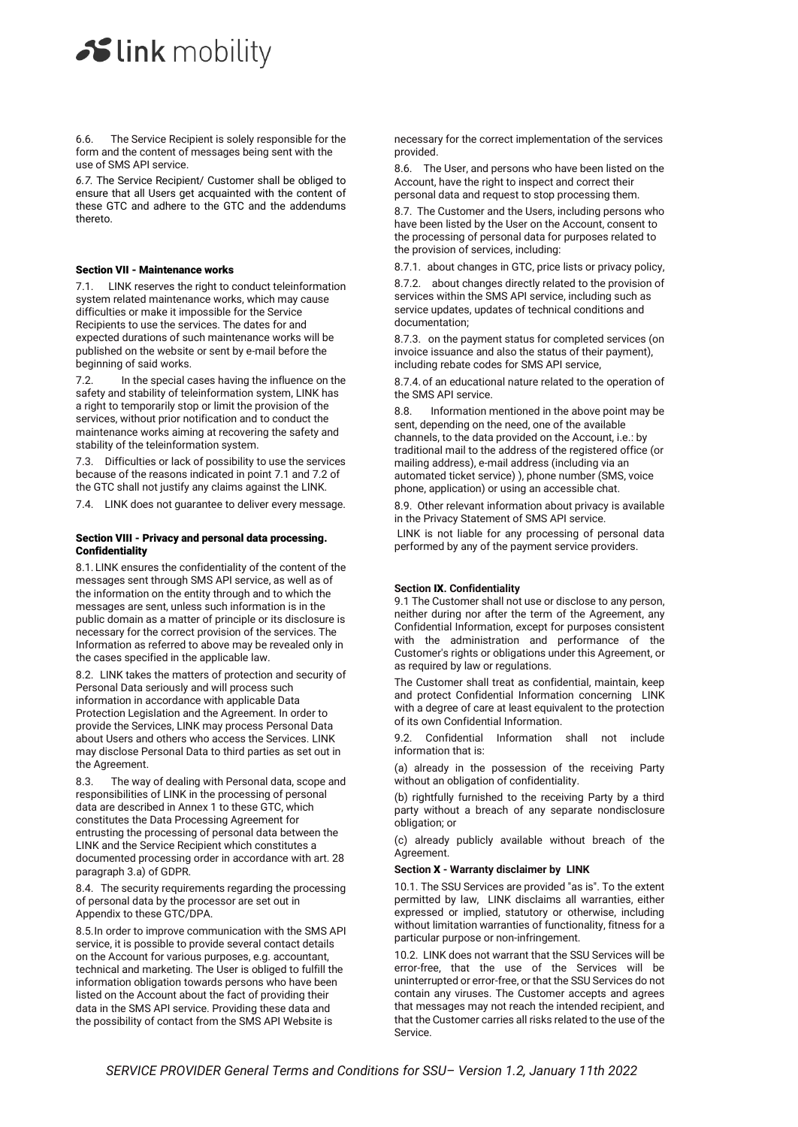6.6. The Service Recipient is solely responsible for the form and the content of messages being sent with the use of SMS API service.

*6.7.* The Service Recipient/ Customer shall be obliged to ensure that all Users get acquainted with the content of these GTC and adhere to the GTC and the addendums thereto.

#### Section VII - Maintenance works

7.1. LINK reserves the right to conduct teleinformation system related maintenance works, which may cause difficulties or make it impossible for the Service Recipients to use the services. The dates for and expected durations of such maintenance works will be published on the website or sent by e-mail before the beginning of said works.

7.2. In the special cases having the influence on the safety and stability of teleinformation system, LINK has a right to temporarily stop or limit the provision of the services, without prior notification and to conduct the maintenance works aiming at recovering the safety and stability of the teleinformation system.

7.3. Difficulties or lack of possibility to use the services because of the reasons indicated in point 7.1 and 7.2 of the GTC shall not justify any claims against the LINK.

7.4. LINK does not guarantee to deliver every message.

#### Section VIII - Privacy and personal data processing. Confidentiality

8.1. LINK ensures the confidentiality of the content of the messages sent through SMS API service, as well as of the information on the entity through and to which the messages are sent, unless such information is in the public domain as a matter of principle or its disclosure is necessary for the correct provision of the services. The Information as referred to above may be revealed only in the cases specified in the applicable law.

8.2. LINK takes the matters of protection and security of Personal Data seriously and will process such information in accordance with applicable Data Protection Legislation and the Agreement. In order to provide the Services, LINK may process Personal Data about Users and others who access the Services. LINK may disclose Personal Data to third parties as set out in the Agreement.

8.3. The way of dealing with Personal data, scope and responsibilities of LINK in the processing of personal data are described in Annex 1 to these GTC, which constitutes the Data Processing Agreement for entrusting the processing of personal data between the LINK and the Service Recipient which constitutes a documented processing order in accordance with art. 28 paragraph 3.a) of GDPR.

8.4. The security requirements regarding the processing of personal data by the processor are set out in Appendix to these GTC/DPA.

8.5.In order to improve communication with the SMS API service, it is possible to provide several contact details on the Account for various purposes, e.g. accountant, technical and marketing. The User is obliged to fulfill the information obligation towards persons who have been listed on the Account about the fact of providing their data in the SMS API service. Providing these data and the possibility of contact from the SMS API Website is

necessary for the correct implementation of the services provided.

8.6. The User, and persons who have been listed on the Account, have the right to inspect and correct their personal data and request to stop processing them.

8.7. The Customer and the Users, including persons who have been listed by the User on the Account, consent to the processing of personal data for purposes related to the provision of services, including:

8.7.1. about changes in GTC, price lists or privacy policy,

8.7.2. about changes directly related to the provision of services within the SMS API service, including such as service updates, updates of technical conditions and documentation;

8.7.3. on the payment status for completed services (on invoice issuance and also the status of their payment), including rebate codes for SMS API service,

8.7.4.of an educational nature related to the operation of the SMS API service.

8.8. Information mentioned in the above point may be sent, depending on the need, one of the available channels, to the data provided on the Account, i.e.: by traditional mail to the address of the registered office (or mailing address), e-mail address (including via an automated ticket service) ), phone number (SMS, voice phone, application) or using an accessible chat.

8.9. Other relevant information about privacy is available in the Privacy Statement of SMS API service.

LINK is not liable for any processing of personal data performed by any of the payment service providers.

#### **Section** IX**. Confidentiality**

9.1 The Customer shall not use or disclose to any person, neither during nor after the term of the Agreement, any Confidential Information, except for purposes consistent with the administration and performance of the Customer's rights or obligations under this Agreement, or as required by law or regulations.

The Customer shall treat as confidential, maintain, keep and protect Confidential Information concerning LINK with a degree of care at least equivalent to the protection of its own Confidential Information.

9.2. Confidential Information shall not include information that is:

(a) already in the possession of the receiving Party without an obligation of confidentiality.

(b) rightfully furnished to the receiving Party by a third party without a breach of any separate nondisclosure obligation; or

(c) already publicly available without breach of the Agreement.

#### **Section** X **- Warranty disclaimer by LINK**

10.1. The SSU Services are provided "as is". To the extent permitted by law, LINK disclaims all warranties, either expressed or implied, statutory or otherwise, including without limitation warranties of functionality, fitness for a particular purpose or non-infringement.

10.2. LINK does not warrant that the SSU Services will be error-free, that the use of the Services will be uninterrupted or error-free, or that the SSU Services do not contain any viruses. The Customer accepts and agrees that messages may not reach the intended recipient, and that the Customer carries all risks related to the use of the Service.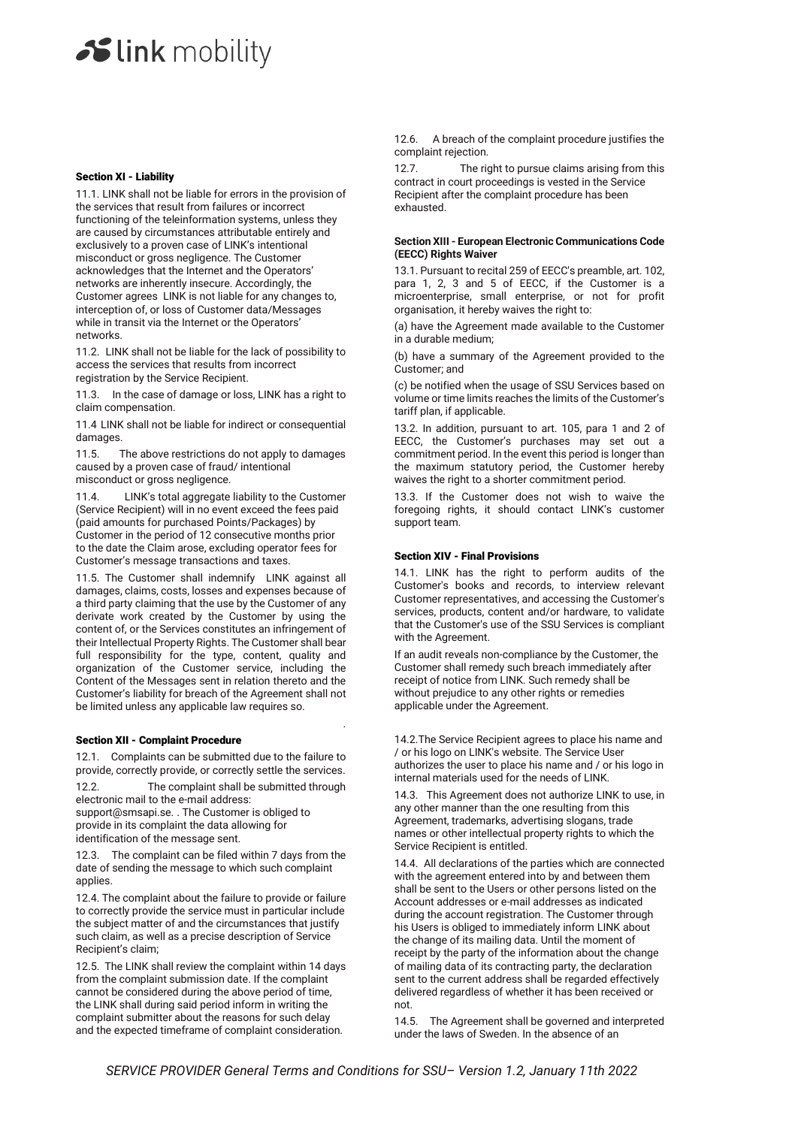#### Section XI - Liability

11.1. LINK shall not be liable for errors in the provision of the services that result from failures or incorrect functioning of the teleinformation systems, unless they are caused by circumstances attributable entirely and exclusively to a proven case of LINK's intentional misconduct or gross negligence. The Customer acknowledges that the Internet and the Operators' networks are inherently insecure. Accordingly, the Customer agrees LINK is not liable for any changes to, interception of, or loss of Customer data/Messages while in transit via the Internet or the Operators' networks.

11.2. LINK shall not be liable for the lack of possibility to access the services that results from incorrect registration by the Service Recipient.

11.3. In the case of damage or loss, LINK has a right to claim compensation.

11.4 LINK shall not be liable for indirect or consequential damages.

11.5. The above restrictions do not apply to damages caused by a proven case of fraud/ intentional misconduct or gross negligence.

11.4. LINK's total aggregate liability to the Customer (Service Recipient) will in no event exceed the fees paid (paid amounts for purchased Points/Packages) by Customer in the period of 12 consecutive months prior to the date the Claim arose, excluding operator fees for Customer's message transactions and taxes.

11.5. The Customer shall indemnify LINK against all damages, claims, costs, losses and expenses because of a third party claiming that the use by the Customer of any derivate work created by the Customer by using the content of, or the Services constitutes an infringement of their Intellectual Property Rights. The Customer shall bear full responsibility for the type, content, quality and organization of the Customer service, including the Content of the Messages sent in relation thereto and the Customer's liability for breach of the Agreement shall not be limited unless any applicable law requires so.

#### Section XII - Complaint Procedure

12.1. Complaints can be submitted due to the failure to provide, correctly provide, or correctly settle the services.

12.2. The complaint shall be submitted through electronic mail to the e-mail address:

support@smsapi.se. . The Customer is obliged to provide in its complaint the data allowing for identification of the message sent.

12.3. The complaint can be filed within 7 days from the date of sending the message to which such complaint applies.

12.4. The complaint about the failure to provide or failure to correctly provide the service must in particular include the subject matter of and the circumstances that justify such claim, as well as a precise description of Service Recipient's claim;

12.5. The LINK shall review the complaint within 14 days from the complaint submission date. If the complaint cannot be considered during the above period of time, the LINK shall during said period inform in writing the complaint submitter about the reasons for such delay and the expected timeframe of complaint consideration.

12.6. A breach of the complaint procedure justifies the complaint rejection.

12.7. The right to pursue claims arising from this contract in court proceedings is vested in the Service Recipient after the complaint procedure has been exhausted.

#### **Section XIII - European Electronic Communications Code (EECC) Rights Waiver**

13.1. Pursuant to recital 259 of EECC's preamble, art. 102, para 1, 2, 3 and 5 of EECC, if the Customer is a microenterprise, small enterprise, or not for profit organisation, it hereby waives the right to:

(a) have the Agreement made available to the Customer in a durable medium;

(b) have a summary of the Agreement provided to the Customer; and

(c) be notified when the usage of SSU Services based on volume or time limits reaches the limits of the Customer's tariff plan, if applicable.

13.2. In addition, pursuant to art. 105, para 1 and 2 of EECC, the Customer's purchases may set out a commitment period. In the event this period is longer than the maximum statutory period, the Customer hereby waives the right to a shorter commitment period.

13.3. If the Customer does not wish to waive the foregoing rights, it should contact LINK's customer support team.

#### Section XIV - Final Provisions

14.1. LINK has the right to perform audits of the Customer's books and records, to interview relevant Customer representatives, and accessing the Customer's services, products, content and/or hardware, to validate that the Customer's use of the SSU Services is compliant with the Agreement.

If an audit reveals non-compliance by the Customer, the Customer shall remedy such breach immediately after receipt of notice from LINK. Such remedy shall be without prejudice to any other rights or remedies applicable under the Agreement.

14.2.The Service Recipient agrees to place his name and / or his logo on LINK's website. The Service User authorizes the user to place his name and / or his logo in internal materials used for the needs of LINK.

14.3. This Agreement does not authorize LINK to use, in any other manner than the one resulting from this Agreement, trademarks, advertising slogans, trade names or other intellectual property rights to which the Service Recipient is entitled.

14.4. All declarations of the parties which are connected with the agreement entered into by and between them shall be sent to the Users or other persons listed on the Account addresses or e-mail addresses as indicated during the account registration. The Customer through his Users is obliged to immediately inform LINK about the change of its mailing data. Until the moment of receipt by the party of the information about the change of mailing data of its contracting party, the declaration sent to the current address shall be regarded effectively delivered regardless of whether it has been received or not.

14.5. The Agreement shall be governed and interpreted under the laws of Sweden. In the absence of an

.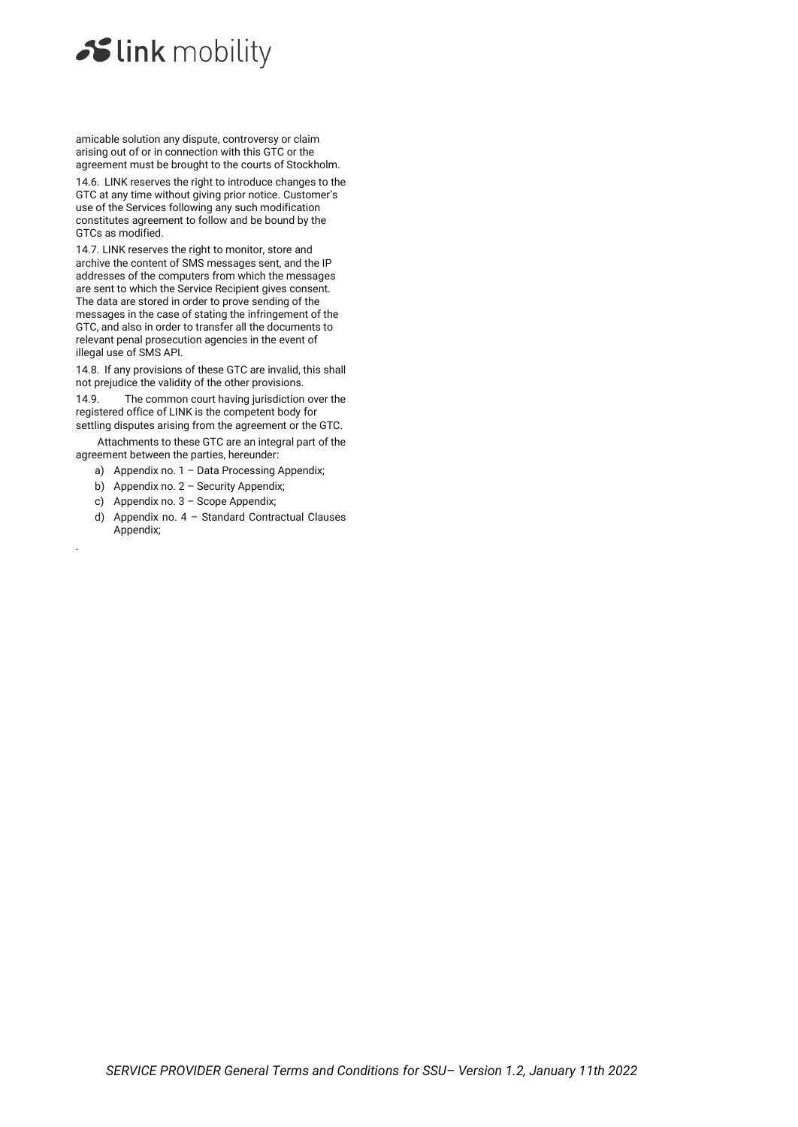amicable solution any dispute, controversy or claim arising out of or in connection with this GTC or the agreement must be brought to the courts of Stockholm.

14.6. LINK reserves the right to introduce changes to the GTC at any time without giving prior notice. Customer's use of the Services following any such modification constitutes agreement to follow and be bound by the GTCs as modified.

14.7. LINK reserves the right to monitor, store and archive the content of SMS messages sent, and the IP addresses of the computers from which the messages are sent to which the Service Recipient gives consent. The data are stored in order to prove sending of the messages in the case of stating the infringement of the GTC, and also in order to transfer all the documents to relevant penal prosecution agencies in the event of illegal use of SMS API.

14.8. If any provisions of these GTC are invalid, this shall not prejudice the validity of the other provisions.

14.9. The common court having jurisdiction over the registered office of LINK is the competent body for settling disputes arising from the agreement or the GTC.

Attachments to these GTC are an integral part of the agreement between the parties, hereunder:

- a) Appendix no. 1 Data Processing Appendix;
- b) Appendix no. 2 Security Appendix;
- c) Appendix no. 3 Scope Appendix;

.

d) Appendix no. 4 – Standard Contractual Clauses Appendix;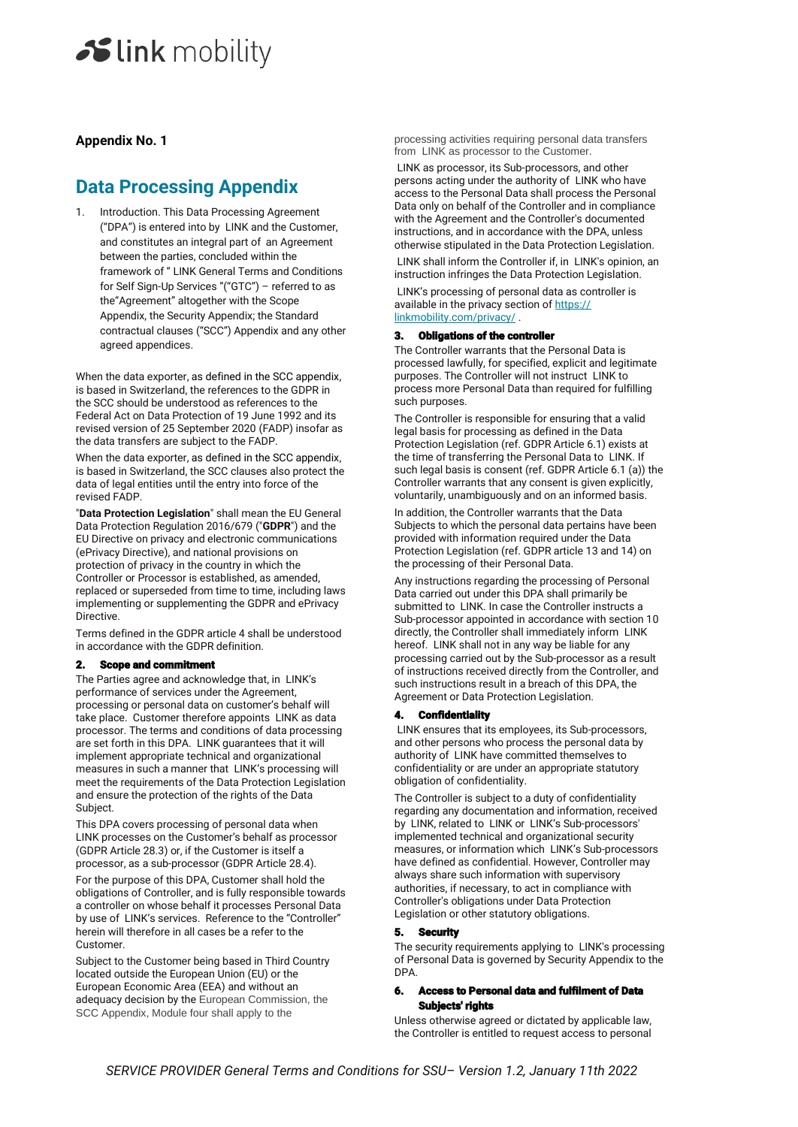# **Appendix No. 1**

# **Data Processing Appendix**

1. Introduction. This Data Processing Agreement ("DPA") is entered into by LINK and the Customer, and constitutes an integral part of an Agreement between the parties, concluded within the framework of " LINK General Terms and Conditions for Self Sign-Up Services "("GTC") – referred to as the"Agreement" altogether with the Scope Appendix, the Security Appendix; the Standard contractual clauses ("SCC") Appendix and any other agreed appendices.

When the data exporter, as defined in the SCC appendix, is based in Switzerland, the references to the GDPR in the SCC should be understood as references to the Federal Act on Data Protection of 19 June 1992 and its revised version of 25 September 2020 (FADP) insofar as the data transfers are subject to the FADP.

When the data exporter, as defined in the SCC appendix, is based in Switzerland, the SCC clauses also protect the data of legal entities until the entry into force of the revised FADP.

"**Data Protection Legislation**" shall mean the EU General Data Protection Regulation 2016/679 ("**GDPR**") and the EU Directive on privacy and electronic communications (ePrivacy Directive), and national provisions on protection of privacy in the country in which the Controller or Processor is established, as amended, replaced or superseded from time to time, including laws implementing or supplementing the GDPR and ePrivacy Directive.

Terms defined in the GDPR article 4 shall be understood in accordance with the GDPR definition.

# 2. Scope and commitment

The Parties agree and acknowledge that, in LINK's performance of services under the Agreement, processing or personal data on customer's behalf will take place. Customer therefore appoints LINK as data processor. The terms and conditions of data processing are set forth in this DPA. LINK guarantees that it will implement appropriate technical and organizational measures in such a manner that LINK's processing will meet the requirements of the Data Protection Legislation and ensure the protection of the rights of the Data Subject.

This DPA covers processing of personal data when LINK processes on the Customer's behalf as processor (GDPR Article 28.3) or, if the Customer is itself a processor, as a sub-processor (GDPR Article 28.4).

For the purpose of this DPA, Customer shall hold the obligations of Controller, and is fully responsible towards a controller on whose behalf it processes Personal Data by use of LINK's services. Reference to the "Controller" herein will therefore in all cases be a refer to the Customer.

Subject to the Customer being based in Third Country located outside the European Union (EU) or the European Economic Area (EEA) and without an adequacy decision by the European Commission, the SCC Appendix, Module four shall apply to the

processing activities requiring personal data transfers from LINK as processor to the Customer.

LINK as processor, its Sub-processors, and other persons acting under the authority of LINK who have access to the Personal Data shall process the Personal Data only on behalf of the Controller and in compliance with the Agreement and the Controller's documented instructions, and in accordance with the DPA, unless otherwise stipulated in the Data Protection Legislation.

LINK shall inform the Controller if, in LINK's opinion, an instruction infringes the Data Protection Legislation.

LINK's processing of personal data as controller is available in the privacy section of https:// linkmobility.com/privacy/ .

#### 3. Obligations of the controller

The Controller warrants that the Personal Data is processed lawfully, for specified, explicit and legitimate purposes. The Controller will not instruct LINK to process more Personal Data than required for fulfilling such purposes.

The Controller is responsible for ensuring that a valid legal basis for processing as defined in the Data Protection Legislation (ref. GDPR Article 6.1) exists at the time of transferring the Personal Data to LINK. If such legal basis is consent (ref. GDPR Article 6.1 (a)) the Controller warrants that any consent is given explicitly, voluntarily, unambiguously and on an informed basis.

In addition, the Controller warrants that the Data Subjects to which the personal data pertains have been provided with information required under the Data Protection Legislation (ref. GDPR article 13 and 14) on the processing of their Personal Data.

Any instructions regarding the processing of Personal Data carried out under this DPA shall primarily be submitted to LINK. In case the Controller instructs a Sub-processor appointed in accordance with section 10 directly, the Controller shall immediately inform LINK hereof. LINK shall not in any way be liable for any processing carried out by the Sub-processor as a result of instructions received directly from the Controller, and such instructions result in a breach of this DPA, the Agreement or Data Protection Legislation.

#### 4. Confidentiality

LINK ensures that its employees, its Sub-processors, and other persons who process the personal data by authority of LINK have committed themselves to confidentiality or are under an appropriate statutory obligation of confidentiality.

The Controller is subject to a duty of confidentiality regarding any documentation and information, received by LINK, related to LINK or LINK's Sub-processors' implemented technical and organizational security measures, or information which LINK's Sub-processors have defined as confidential. However, Controller may always share such information with supervisory authorities, if necessary, to act in compliance with Controller's obligations under Data Protection Legislation or other statutory obligations.

#### **Security**

The security requirements applying to LINK's processing of Personal Data is governed by Security Appendix to the DPA.

#### 6. Access to Personal data and fulfilment of Data Subjects' rights

Unless otherwise agreed or dictated by applicable law, the Controller is entitled to request access to personal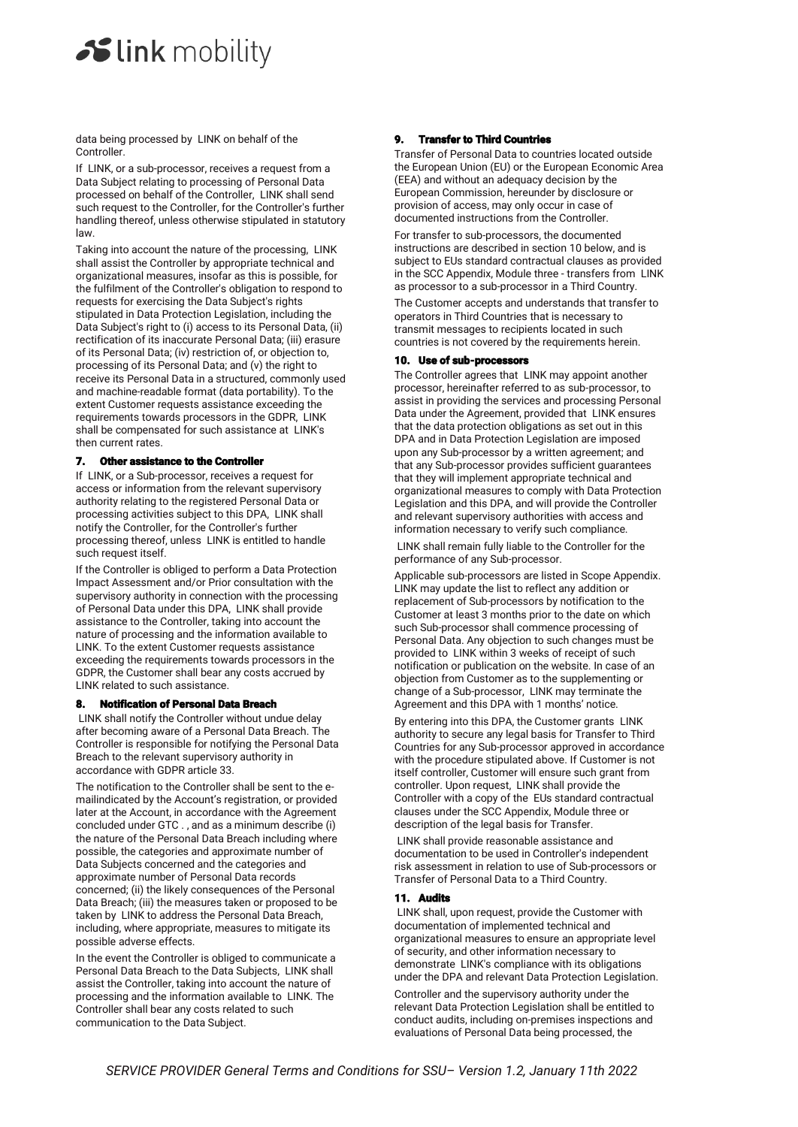data being processed by LINK on behalf of the Controller.

If LINK, or a sub-processor, receives a request from a Data Subject relating to processing of Personal Data processed on behalf of the Controller, LINK shall send such request to the Controller, for the Controller's further handling thereof, unless otherwise stipulated in statutory law.

Taking into account the nature of the processing, LINK shall assist the Controller by appropriate technical and organizational measures, insofar as this is possible, for the fulfilment of the Controller's obligation to respond to requests for exercising the Data Subject's rights stipulated in Data Protection Legislation, including the Data Subject's right to (i) access to its Personal Data, (ii) rectification of its inaccurate Personal Data; (iii) erasure of its Personal Data; (iv) restriction of, or objection to, processing of its Personal Data; and (v) the right to receive its Personal Data in a structured, commonly used and machine-readable format (data portability). To the extent Customer requests assistance exceeding the requirements towards processors in the GDPR, LINK shall be compensated for such assistance at LINK's then current rates.

### 7. Other assistance to the Controller

If LINK, or a Sub-processor, receives a request for access or information from the relevant supervisory authority relating to the registered Personal Data or processing activities subject to this DPA, LINK shall notify the Controller, for the Controller's further processing thereof, unless LINK is entitled to handle such request itself.

If the Controller is obliged to perform a Data Protection Impact Assessment and/or Prior consultation with the supervisory authority in connection with the processing of Personal Data under this DPA, LINK shall provide assistance to the Controller, taking into account the nature of processing and the information available to LINK. To the extent Customer requests assistance exceeding the requirements towards processors in the GDPR, the Customer shall bear any costs accrued by LINK related to such assistance.

# 8. Notification of Personal Data Breach

LINK shall notify the Controller without undue delay after becoming aware of a Personal Data Breach. The Controller is responsible for notifying the Personal Data Breach to the relevant supervisory authority in accordance with GDPR article 33.

The notification to the Controller shall be sent to the emailindicated by the Account's registration, or provided later at the Account, in accordance with the Agreement concluded under GTC . , and as a minimum describe (i) the nature of the Personal Data Breach including where possible, the categories and approximate number of Data Subjects concerned and the categories and approximate number of Personal Data records concerned; (ii) the likely consequences of the Personal Data Breach; (iii) the measures taken or proposed to be taken by LINK to address the Personal Data Breach, including, where appropriate, measures to mitigate its possible adverse effects.

In the event the Controller is obliged to communicate a Personal Data Breach to the Data Subjects, LINK shall assist the Controller, taking into account the nature of processing and the information available to LINK. The Controller shall bear any costs related to such communication to the Data Subject.

### 9. Transfer to Third Countries

Transfer of Personal Data to countries located outside the European Union (EU) or the European Economic Area (EEA) and without an adequacy decision by the European Commission, hereunder by disclosure or provision of access, may only occur in case of documented instructions from the Controller.

For transfer to sub-processors, the documented instructions are described in section 10 below, and is subject to EUs standard contractual clauses as provided in the SCC Appendix, Module three - transfers from LINK as processor to a sub-processor in a Third Country.

The Customer accepts and understands that transfer to operators in Third Countries that is necessary to transmit messages to recipients located in such countries is not covered by the requirements herein.

#### 10. Use of sub-processors

The Controller agrees that LINK may appoint another processor, hereinafter referred to as sub-processor, to assist in providing the services and processing Personal Data under the Agreement, provided that LINK ensures that the data protection obligations as set out in this DPA and in Data Protection Legislation are imposed upon any Sub-processor by a written agreement; and that any Sub-processor provides sufficient guarantees that they will implement appropriate technical and organizational measures to comply with Data Protection Legislation and this DPA, and will provide the Controller and relevant supervisory authorities with access and information necessary to verify such compliance.

LINK shall remain fully liable to the Controller for the performance of any Sub-processor.

Applicable sub-processors are listed in Scope Appendix. LINK may update the list to reflect any addition or replacement of Sub-processors by notification to the Customer at least 3 months prior to the date on which such Sub-processor shall commence processing of Personal Data. Any objection to such changes must be provided to LINK within 3 weeks of receipt of such notification or publication on the website. In case of an objection from Customer as to the supplementing or change of a Sub-processor, LINK may terminate the Agreement and this DPA with 1 months' notice.

By entering into this DPA, the Customer grants LINK authority to secure any legal basis for Transfer to Third Countries for any Sub-processor approved in accordance with the procedure stipulated above. If Customer is not itself controller, Customer will ensure such grant from controller. Upon request, LINK shall provide the Controller with a copy of the EUs standard contractual clauses under the SCC Appendix, Module three or description of the legal basis for Transfer.

LINK shall provide reasonable assistance and documentation to be used in Controller's independent risk assessment in relation to use of Sub-processors or Transfer of Personal Data to a Third Country.

### 11. Audits

LINK shall, upon request, provide the Customer with documentation of implemented technical and organizational measures to ensure an appropriate level of security, and other information necessary to demonstrate LINK's compliance with its obligations under the DPA and relevant Data Protection Legislation.

Controller and the supervisory authority under the relevant Data Protection Legislation shall be entitled to conduct audits, including on-premises inspections and evaluations of Personal Data being processed, the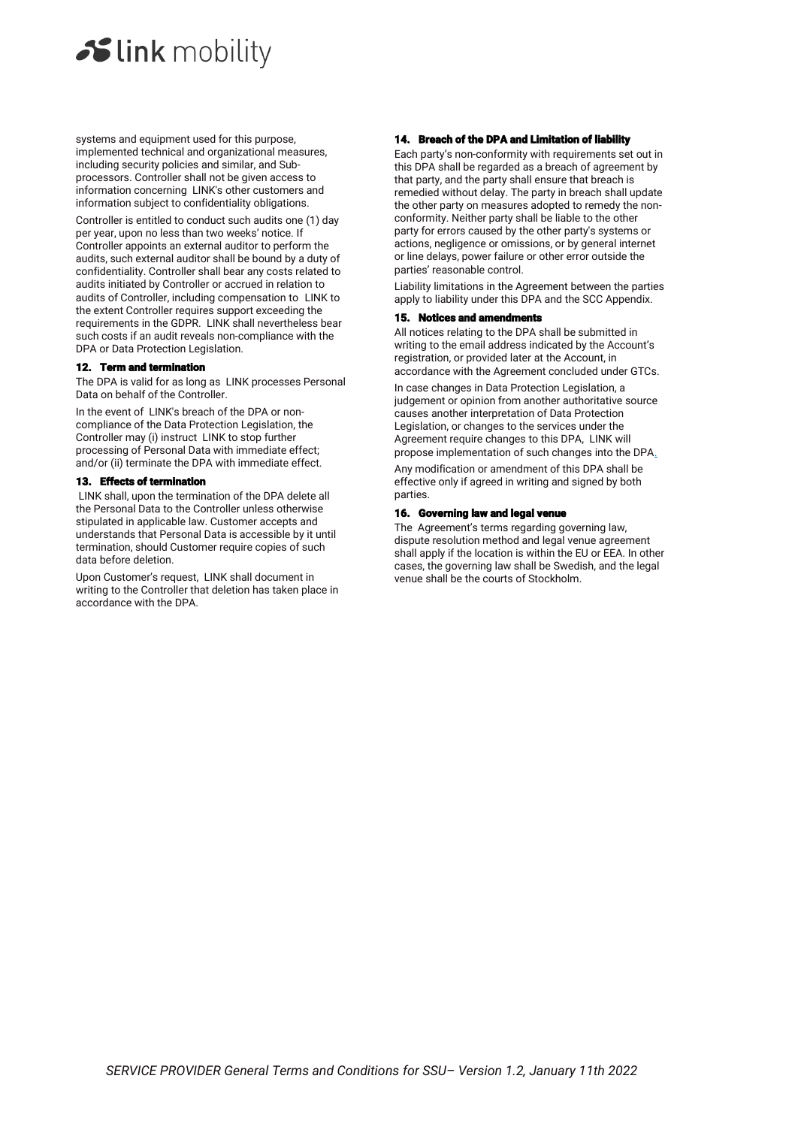systems and equipment used for this purpose, implemented technical and organizational measures, including security policies and similar, and Subprocessors. Controller shall not be given access to information concerning LINK's other customers and information subject to confidentiality obligations.

Controller is entitled to conduct such audits one (1) day per year, upon no less than two weeks' notice. If Controller appoints an external auditor to perform the audits, such external auditor shall be bound by a duty of confidentiality. Controller shall bear any costs related to audits initiated by Controller or accrued in relation to audits of Controller, including compensation to LINK to the extent Controller requires support exceeding the requirements in the GDPR. LINK shall nevertheless bear such costs if an audit reveals non-compliance with the DPA or Data Protection Legislation.

### 12. Term and termin

The DPA is valid for as long as LINK processes Personal Data on behalf of the Controller.

In the event of LINK's breach of the DPA or noncompliance of the Data Protection Legislation, the Controller may (i) instruct LINK to stop further processing of Personal Data with immediate effect; and/or (ii) terminate the DPA with immediate effect.

### 13. Effects of termination

LINK shall, upon the termination of the DPA delete all the Personal Data to the Controller unless otherwise stipulated in applicable law. Customer accepts and understands that Personal Data is accessible by it until termination, should Customer require copies of such data before deletion.

Upon Customer's request, LINK shall document in writing to the Controller that deletion has taken place in accordance with the DPA.

# 14. Breach of the DPA and Limitation of liability

Each party's non-conformity with requirements set out in this DPA shall be regarded as a breach of agreement by that party, and the party shall ensure that breach is remedied without delay. The party in breach shall update the other party on measures adopted to remedy the nonconformity. Neither party shall be liable to the other party for errors caused by the other party's systems or actions, negligence or omissions, or by general internet or line delays, power failure or other error outside the parties' reasonable control.

Liability limitations in the Agreement between the parties apply to liability under this DPA and the SCC Appendix.

#### 15. Notices and amendments

All notices relating to the DPA shall be submitted in writing to the email address indicated by the Account's registration, or provided later at the Account, in accordance with the Agreement concluded under GTCs.

In case changes in Data Protection Legislation, a judgement or opinion from another authoritative source causes another interpretation of Data Protection Legislation, or changes to the services under the Agreement require changes to this DPA, LINK will propose implementation of such changes into the DPA.

Any modification or amendment of this DPA shall be effective only if agreed in writing and signed by both parties.

### 16. Governing law and legal venue

The Agreement's terms regarding governing law, dispute resolution method and legal venue agreement shall apply if the location is within the EU or EEA. In other cases, the governing law shall be Swedish, and the legal venue shall be the courts of Stockholm.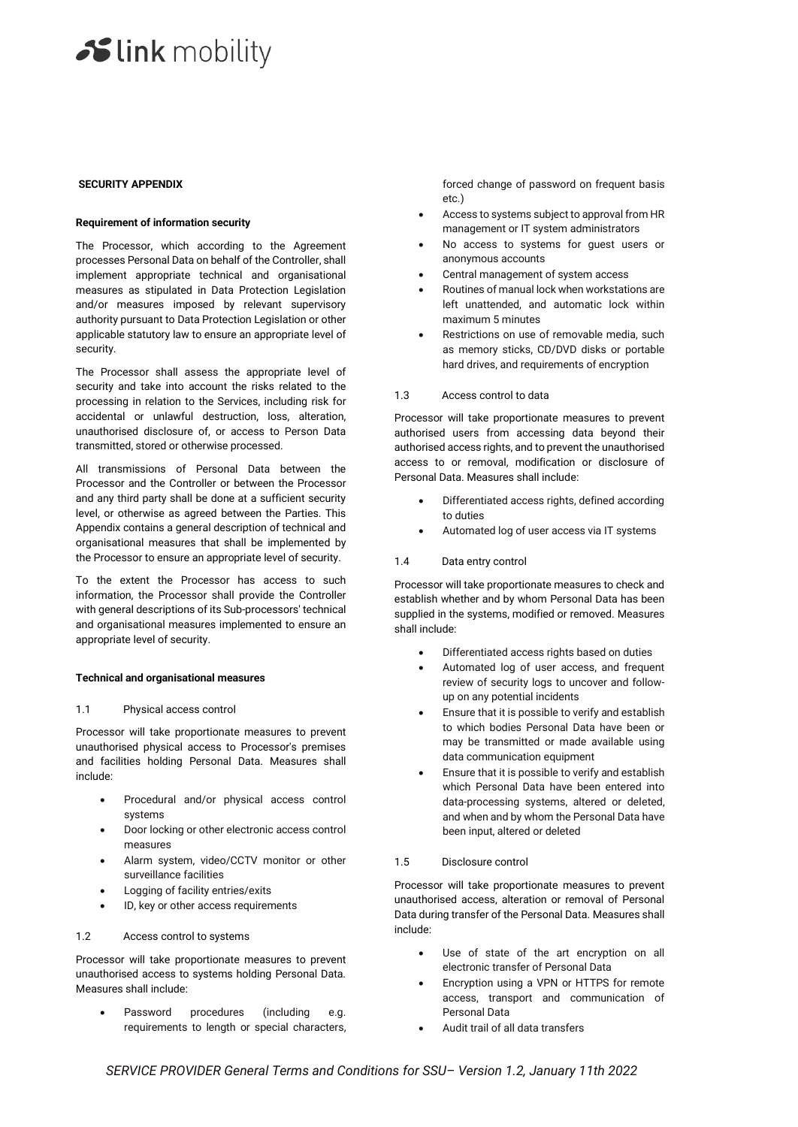#### **SECURITY APPENDIX**

### **Requirement of information security**

The Processor, which according to the Agreement processes Personal Data on behalf of the Controller, shall implement appropriate technical and organisational measures as stipulated in Data Protection Legislation and/or measures imposed by relevant supervisory authority pursuant to Data Protection Legislation or other applicable statutory law to ensure an appropriate level of security.

The Processor shall assess the appropriate level of security and take into account the risks related to the processing in relation to the Services, including risk for accidental or unlawful destruction, loss, alteration, unauthorised disclosure of, or access to Person Data transmitted, stored or otherwise processed.

All transmissions of Personal Data between the Processor and the Controller or between the Processor and any third party shall be done at a sufficient security level, or otherwise as agreed between the Parties. This Appendix contains a general description of technical and organisational measures that shall be implemented by the Processor to ensure an appropriate level of security.

To the extent the Processor has access to such information, the Processor shall provide the Controller with general descriptions of its Sub-processors' technical and organisational measures implemented to ensure an appropriate level of security.

### **Technical and organisational measures**

#### 1.1 Physical access control

Processor will take proportionate measures to prevent unauthorised physical access to Processor's premises and facilities holding Personal Data. Measures shall include:

- Procedural and/or physical access control systems
- Door locking or other electronic access control measures
- Alarm system, video/CCTV monitor or other surveillance facilities
- Logging of facility entries/exits
- ID, key or other access requirements

### 1.2 Access control to systems

Processor will take proportionate measures to prevent unauthorised access to systems holding Personal Data. Measures shall include:

Password procedures (including e.g. requirements to length or special characters, forced change of password on frequent basis etc.)

- Access to systems subject to approval from HR management or IT system administrators
- No access to systems for guest users or anonymous accounts
- Central management of system access
- Routines of manual lock when workstations are left unattended, and automatic lock within maximum 5 minutes
- Restrictions on use of removable media, such as memory sticks, CD/DVD disks or portable hard drives, and requirements of encryption

### 1.3 Access control to data

Processor will take proportionate measures to prevent authorised users from accessing data beyond their authorised access rights, and to prevent the unauthorised access to or removal, modification or disclosure of Personal Data. Measures shall include:

- Differentiated access rights, defined according to duties
- Automated log of user access via IT systems

### 1.4 Data entry control

Processor will take proportionate measures to check and establish whether and by whom Personal Data has been supplied in the systems, modified or removed. Measures shall include:

- Differentiated access rights based on duties
- Automated log of user access, and frequent review of security logs to uncover and followup on any potential incidents
- Ensure that it is possible to verify and establish to which bodies Personal Data have been or may be transmitted or made available using data communication equipment
- Ensure that it is possible to verify and establish which Personal Data have been entered into data-processing systems, altered or deleted, and when and by whom the Personal Data have been input, altered or deleted
- 1.5 Disclosure control

Processor will take proportionate measures to prevent unauthorised access, alteration or removal of Personal Data during transfer of the Personal Data. Measures shall include:

- Use of state of the art encryption on all electronic transfer of Personal Data
- Encryption using a VPN or HTTPS for remote access, transport and communication of Personal Data
- Audit trail of all data transfers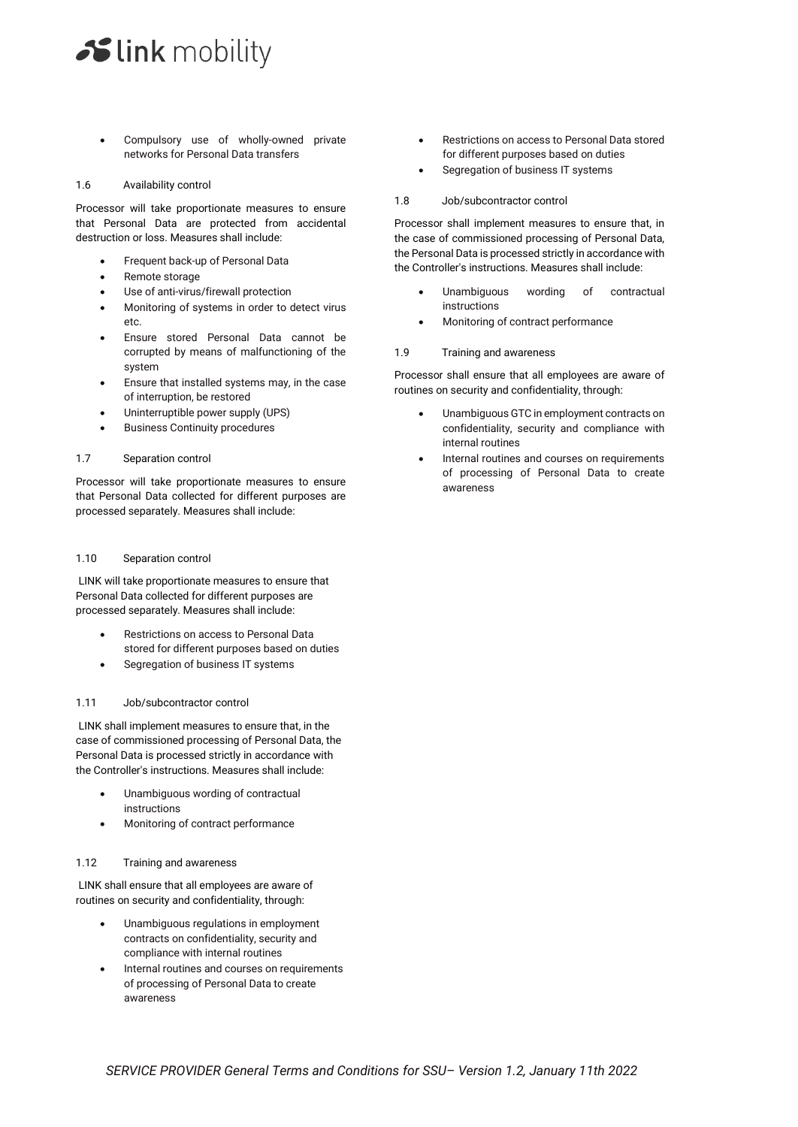Compulsory use of wholly-owned private networks for Personal Data transfers

### 1.6 Availability control

Processor will take proportionate measures to ensure that Personal Data are protected from accidental destruction or loss. Measures shall include:

- Frequent back-up of Personal Data
- Remote storage
- Use of anti-virus/firewall protection
- Monitoring of systems in order to detect virus etc.
- Ensure stored Personal Data cannot be corrupted by means of malfunctioning of the system
- Ensure that installed systems may, in the case of interruption, be restored
- Uninterruptible power supply (UPS)
- **Business Continuity procedures**

### 1.7 Separation control

Processor will take proportionate measures to ensure that Personal Data collected for different purposes are processed separately. Measures shall include:

### 1.10 Separation control

LINK will take proportionate measures to ensure that Personal Data collected for different purposes are processed separately. Measures shall include:

- Restrictions on access to Personal Data stored for different purposes based on duties
- Segregation of business IT systems

### 1.11 Job/subcontractor control

LINK shall implement measures to ensure that, in the case of commissioned processing of Personal Data, the Personal Data is processed strictly in accordance with the Controller's instructions. Measures shall include:

- Unambiguous wording of contractual instructions
- Monitoring of contract performance

# 1.12 Training and awareness

LINK shall ensure that all employees are aware of routines on security and confidentiality, through:

- Unambiguous regulations in employment contracts on confidentiality, security and compliance with internal routines
- Internal routines and courses on requirements of processing of Personal Data to create awareness
- Restrictions on access to Personal Data stored for different purposes based on duties
- Segregation of business IT systems
- 1.8 Job/subcontractor control

Processor shall implement measures to ensure that, in the case of commissioned processing of Personal Data, the Personal Data is processed strictly in accordance with the Controller's instructions. Measures shall include:

- Unambiguous wording of contractual instructions
- Monitoring of contract performance
- 1.9 Training and awareness

Processor shall ensure that all employees are aware of routines on security and confidentiality, through:

- Unambiguous GTC in employment contracts on confidentiality, security and compliance with internal routines
- Internal routines and courses on requirements of processing of Personal Data to create awareness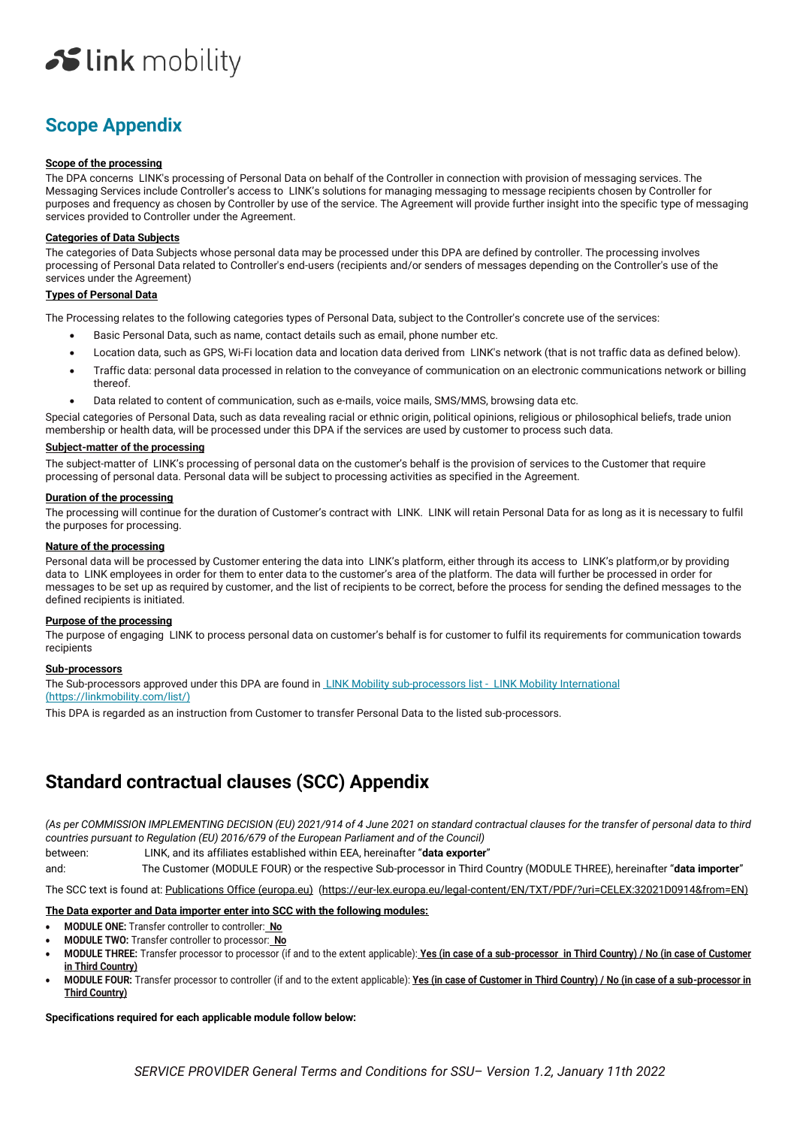# **Scope Appendix**

#### **Scope of the processing**

The DPA concerns LINK's processing of Personal Data on behalf of the Controller in connection with provision of messaging services. The Messaging Services include Controller's access to LINK's solutions for managing messaging to message recipients chosen by Controller for purposes and frequency as chosen by Controller by use of the service. The Agreement will provide further insight into the specific type of messaging services provided to Controller under the Agreement.

### **Categories of Data Subjects**

The categories of Data Subjects whose personal data may be processed under this DPA are defined by controller. The processing involves processing of Personal Data related to Controller's end-users (recipients and/or senders of messages depending on the Controller's use of the services under the Agreement)

### **Types of Personal Data**

The Processing relates to the following categories types of Personal Data, subject to the Controller's concrete use of the services:

- Basic Personal Data, such as name, contact details such as email, phone number etc.
- Location data, such as GPS, Wi-Fi location data and location data derived from LINK's network (that is not traffic data as defined below).
- Traffic data: personal data processed in relation to the conveyance of communication on an electronic communications network or billing thereof.
- Data related to content of communication, such as e-mails, voice mails, SMS/MMS, browsing data etc.

Special categories of Personal Data, such as data revealing racial or ethnic origin, political opinions, religious or philosophical beliefs, trade union membership or health data, will be processed under this DPA if the services are used by customer to process such data.

### **Subject-matter of the processing**

The subject-matter of LINK's processing of personal data on the customer's behalf is the provision of services to the Customer that require processing of personal data. Personal data will be subject to processing activities as specified in the Agreement.

#### **Duration of the processing**

The processing will continue for the duration of Customer's contract with LINK. LINK will retain Personal Data for as long as it is necessary to fulfil the purposes for processing.

### **Nature of the processing**

Personal data will be processed by Customer entering the data into LINK's platform, either through its access to LINK's platform,or by providing data to LINK employees in order for them to enter data to the customer's area of the platform. The data will further be processed in order for messages to be set up as required by customer, and the list of recipients to be correct, before the process for sending the defined messages to the defined recipients is initiated.

#### **Purpose of the processing**

The purpose of engaging LINK to process personal data on customer's behalf is for customer to fulfil its requirements for communication towards recipients

# **Sub-processors**

The Sub-processors approved under this DPA are found i[n LINK Mobility sub-processors list - LINK Mobility International](file:///C:/Users/natalie.aberg/AppData/Local/Microsoft/Windows/INetCache/Content.Outlook/7YHBSSTD/%20LINK%20Mobility%20sub-processors%20list%20-%20%20LINK%20Mobility%20International) (https://linkmobility.com/list/)

This DPA is regarded as an instruction from Customer to transfer Personal Data to the listed sub-processors.

# **Standard contractual clauses (SCC) Appendix**

*(As per COMMISSION IMPLEMENTING DECISION (EU) 2021/914 of 4 June 2021 on standard contractual clauses for the transfer of personal data to third countries pursuant to Regulation (EU) 2016/679 of the European Parliament and of the Council)*

between: LINK, and its affiliates established within EEA, hereinafter "**data exporter**"

and: The Customer (MODULE FOUR) or the respective Sub-processor in Third Country (MODULE THREE), hereinafter "**data importer**"

The SCC text is found at: [Publications Office \(europa.eu\)](https://eur-lex.europa.eu/legal-content/EN/TXT/PDF/?uri=CELEX:32021D0914&from=EN) (https://eur-lex.europa.eu/legal-content/EN/TXT/PDF/?uri=CELEX:32021D0914&from=EN)

# **The Data exporter and Data importer enter into SCC with the following modules:**

- **MODULE ONE:** Transfer controller to controller: **No**
- **MODULE TWO:** Transfer controller to processor: **No**
- **MODULE THREE:** Transfer processor to processor (if and to the extent applicable): **Yes (in case of a sub-processor in Third Country) / No (in case of Customer in Third Country)**
- **MODULE FOUR:** Transfer processor to controller (if and to the extent applicable): **Yes (in case of Customer in Third Country) / No (in case of a sub-processor in Third Country)**

# **Specifications required for each applicable module follow below:**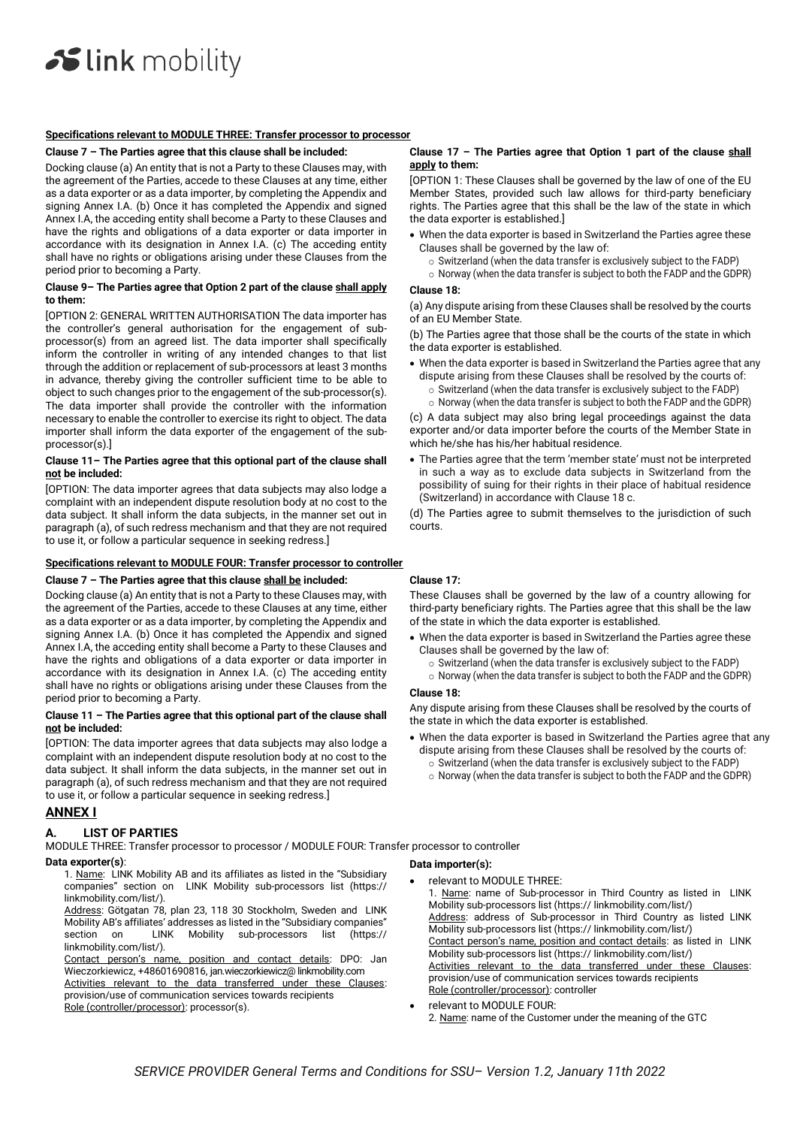#### **Specifications relevant to MODULE THREE: Transfer processor to processor**

#### **Clause 7 – The Parties agree that this clause shall be included:**

Docking clause (a) An entity that is not a Party to these Clauses may, with the agreement of the Parties, accede to these Clauses at any time, either as a data exporter or as a data importer, by completing the Appendix and signing Annex I.A. (b) Once it has completed the Appendix and signed Annex I.A, the acceding entity shall become a Party to these Clauses and have the rights and obligations of a data exporter or data importer in accordance with its designation in Annex  $A$  (c) The acceding entity shall have no rights or obligations arising under these Clauses from the period prior to becoming a Party.

#### **Clause 9– The Parties agree that Option 2 part of the clause shall apply to them:**

[OPTION 2: GENERAL WRITTEN AUTHORISATION The data importer has the controller's general authorisation for the engagement of subprocessor(s) from an agreed list. The data importer shall specifically inform the controller in writing of any intended changes to that list through the addition or replacement of sub-processors at least 3 months in advance, thereby giving the controller sufficient time to be able to object to such changes prior to the engagement of the sub-processor(s). The data importer shall provide the controller with the information necessary to enable the controller to exercise its right to object. The data importer shall inform the data exporter of the engagement of the subprocessor(s).]

#### **Clause 11– The Parties agree that this optional part of the clause shall not be included:**

[OPTION: The data importer agrees that data subjects may also lodge a complaint with an independent dispute resolution body at no cost to the data subject. It shall inform the data subjects, in the manner set out in paragraph (a), of such redress mechanism and that they are not required to use it, or follow a particular sequence in seeking redress.]

# **Specifications relevant to MODULE FOUR: Transfer processor to controller**

#### **Clause 7 – The Parties agree that this clause shall be included:**

Docking clause (a) An entity that is not a Party to these Clauses may, with the agreement of the Parties, accede to these Clauses at any time, either as a data exporter or as a data importer, by completing the Appendix and signing Annex I.A. (b) Once it has completed the Appendix and signed Annex I.A, the acceding entity shall become a Party to these Clauses and have the rights and obligations of a data exporter or data importer in accordance with its designation in Annex I.A. (c) The acceding entity shall have no rights or obligations arising under these Clauses from the period prior to becoming a Party.

#### **Clause 11 – The Parties agree that this optional part of the clause shall not be included:**

[OPTION: The data importer agrees that data subjects may also lodge a complaint with an independent dispute resolution body at no cost to the data subject. It shall inform the data subjects, in the manner set out in paragraph (a), of such redress mechanism and that they are not required to use it, or follow a particular sequence in seeking redress.]

# **ANNEX I**

# **A. LIST OF PARTIES**

MODULE THREE: Transfer processor to processor / MODULE FOUR: Transfer processor to controller

- **Data exporter(s)**:
	- 1. Name: LINK Mobility AB and its affiliates as listed in the "Subsidiary companies" section on LINK Mobility sub-processors list (https:// linkmobility.com/list/).
	- Address: Götgatan 78, plan 23, 118 30 Stockholm, Sweden and LINK Mobility AB's affiliates' addresses as listed in the "Subsidiary companies"<br>section on LINK Mobility sub-processors list (https:// section on LINK Mobility sub-processors list (https:// linkmobility.com/list/).
	- Contact person's name, position and contact details: DPO: Jan Wieczorkiewicz, +48601690816, jan.wieczorkiewicz@ linkmobility.com Activities relevant to the data transferred under these Clauses:

provision/use of communication services towards recipients

### Role (controller/processor): processor(s).

### Clause 17 - The Parties agree that Option 1 part of the clause shall **apply to them:**

[OPTION 1: These Clauses shall be governed by the law of one of the EU Member States, provided such law allows for third-party beneficiary rights. The Parties agree that this shall be the law of the state in which the data exporter is established.]

- When the data exporter is based in Switzerland the Parties agree these Clauses shall be governed by the law of:
	- o Switzerland (when the data transfer is exclusively subject to the FADP)
	- o Norway (when the data transfer is subject to both the FADP and the GDPR)

#### **Clause 18:**

(a) Any dispute arising from these Clauses shall be resolved by the courts of an EU Member State.

(b) The Parties agree that those shall be the courts of the state in which the data exporter is established.

- When the data exporter is based in Switzerland the Parties agree that any dispute arising from these Clauses shall be resolved by the courts of:
	- o Switzerland (when the data transfer is exclusively subject to the FADP) o Norway (when the data transfer is subject to both the FADP and the GDPR)

(c) A data subject may also bring legal proceedings against the data exporter and/or data importer before the courts of the Member State in which he/she has his/her habitual residence.

• The Parties agree that the term 'member state' must not be interpreted in such a way as to exclude data subjects in Switzerland from the possibility of suing for their rights in their place of habitual residence (Switzerland) in accordance with Clause 18 c.

(d) The Parties agree to submit themselves to the jurisdiction of such courts.

# **Clause 17:**

These Clauses shall be governed by the law of a country allowing for third-party beneficiary rights. The Parties agree that this shall be the law of the state in which the data exporter is established.

- When the data exporter is based in Switzerland the Parties agree these Clauses shall be governed by the law of:
	- o Switzerland (when the data transfer is exclusively subject to the FADP)
	- o Norway (when the data transfer is subject to both the FADP and the GDPR)

#### **Clause 18:**

Any dispute arising from these Clauses shall be resolved by the courts of the state in which the data exporter is established.

- When the data exporter is based in Switzerland the Parties agree that any dispute arising from these Clauses shall be resolved by the courts of: o Switzerland (when the data transfer is exclusively subject to the FADP)
	- o Norway (when the data transfer is subject to both the FADP and the GDPR)

#### **Data importer(s):**

• relevant to MODULE THREE:

1. Name: name of Sub-processor in Third Country as listed in LINK Mobility sub-processors list (https:// linkmobility.com/list/) Address: address of Sub-processor in Third Country as listed LINK Mobility sub-processors list (https:// linkmobility.com/list/) Contact person's name, position and contact details: as listed in LINK Mobility sub-processors list (https:// linkmobility.com/list/) Activities relevant to the data transferred under these Clauses: provision/use of communication services towards recipients Role (controller/processor): controller

relevant to MODULE FOUR:

2. Name: name of the Customer under the meaning of the GTC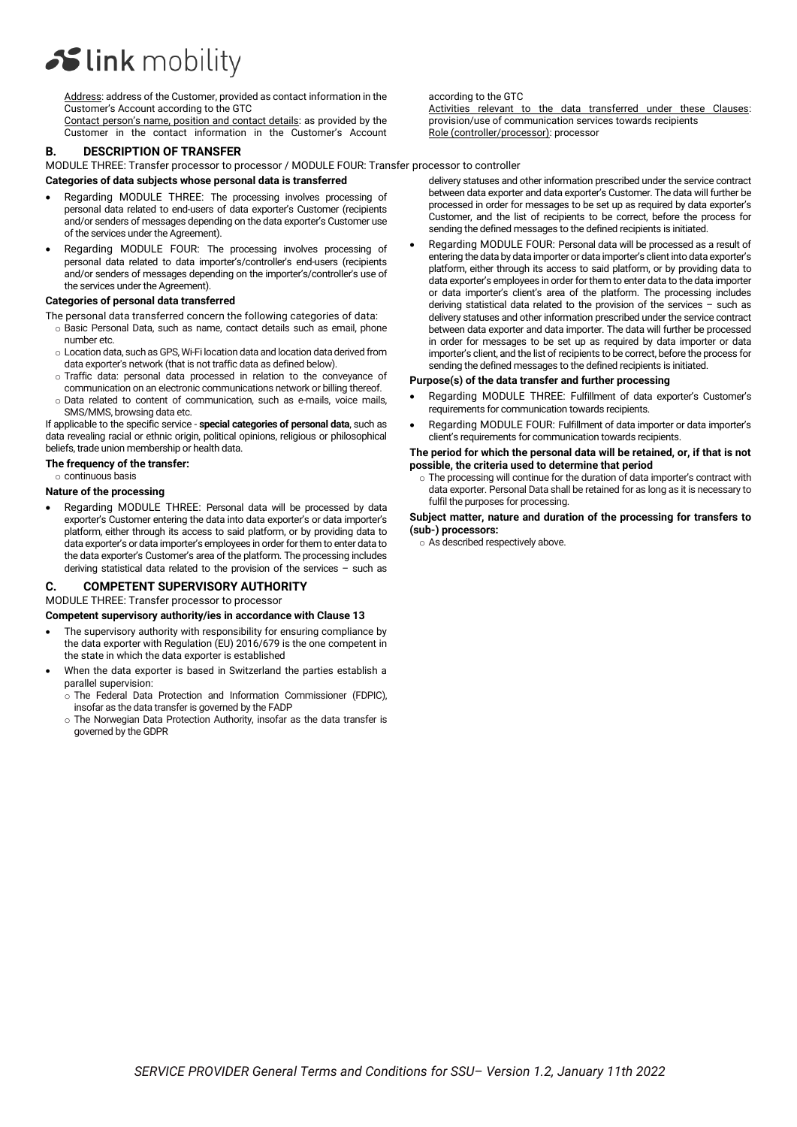Address: address of the Customer, provided as contact information in the Customer's Account according to the GTC

Contact person's name, position and contact details: as provided by the Customer in the contact information in the Customer's Account

# **B. DESCRIPTION OF TRANSFER**

MODULE THREE: Transfer processor to processor / MODULE FOUR: Transfer processor to controller

#### **Categories of data subjects whose personal data is transferred**

- Regarding MODULE THREE: The processing involves processing of personal data related to end-users of data exporter's Customer (recipients and/or senders of messages depending on the data exporter's Customer use of the services under the Agreement).
- Regarding MODULE FOUR: The processing involves processing of personal data related to data importer's/controller's end-users (recipients and/or senders of messages depending on the importer's/controller's use of the services under the Agreement).

#### **Categories of personal data transferred**

The personal data transferred concern the following categories of data:

- o Basic Personal Data, such as name, contact details such as email, phone number etc.
- o Location data, such as GPS, Wi-Fi location data and location data derived from data exporter's network (that is not traffic data as defined below).
- o Traffic data: personal data processed in relation to the conveyance of communication on an electronic communications network or billing thereof.
- o Data related to content of communication, such as e-mails, voice mails, SMS/MMS, browsing data etc.

If applicable to the specific service - **special categories of personal data**, such as data revealing racial or ethnic origin, political opinions, religious or philosophical beliefs, trade union membership or health data.

#### **The frequency of the transfer:**

o continuous basis

# **Nature of the processing**

• Regarding MODULE THREE: Personal data will be processed by data exporter's Customer entering the data into data exporter's or data importer's platform, either through its access to said platform, or by providing data to data exporter's or data importer's employees in order for them to enter data to the data exporter's Customer's area of the platform. The processing includes deriving statistical data related to the provision of the services – such as

# **C. COMPETENT SUPERVISORY AUTHORITY**

# MODULE THREE: Transfer processor to processor

**Competent supervisory authority/ies in accordance with Clause 13**

- The supervisory authority with responsibility for ensuring compliance by the data exporter with Regulation (EU) 2016/679 is the one competent in the state in which the data exporter is established
- When the data exporter is based in Switzerland the parties establish a parallel supervision:
	- o The Federal Data Protection and Information Commissioner (FDPIC), insofar as the data transfer is governed by the FADP
	- o The Norwegian Data Protection Authority, insofar as the data transfer is governed by the GDPR

#### according to the GTC

Activities relevant to the data transferred under these Clauses: provision/use of communication services towards recipients Role (controller/processor): processor

delivery statuses and other information prescribed under the service contract between data exporter and data exporter's Customer. The data will further be processed in order for messages to be set up as required by data exporter's Customer, and the list of recipients to be correct, before the process for sending the defined messages to the defined recipients is initiated.

• Regarding MODULE FOUR: Personal data will be processed as a result of entering the data by data importer or data importer's client into data exporter's platform, either through its access to said platform, or by providing data to data exporter's employees in order for them to enter data to the data importer or data importer's client's area of the platform. The processing includes deriving statistical data related to the provision of the services – such as delivery statuses and other information prescribed under the service contract between data exporter and data importer. The data will further be processed in order for messages to be set up as required by data importer or data importer's client, and the list of recipients to be correct, before the process for sending the defined messages to the defined recipients is initiated.

#### **Purpose(s) of the data transfer and further processing**

- Regarding MODULE THREE: Fulfillment of data exporter's Customer's requirements for communication towards recipients.
- Regarding MODULE FOUR: Fulfillment of data importer or data importer's client's requirements for communication towards recipients.

#### **The period for which the personal data will be retained, or, if that is not possible, the criteria used to determine that period**

o The processing will continue for the duration of data importer's contract with data exporter. Personal Data shall be retained for as long as it is necessary to fulfil the purposes for processing.

#### **Subject matter, nature and duration of the processing for transfers to (sub-) processors:**

o As described respectively above.